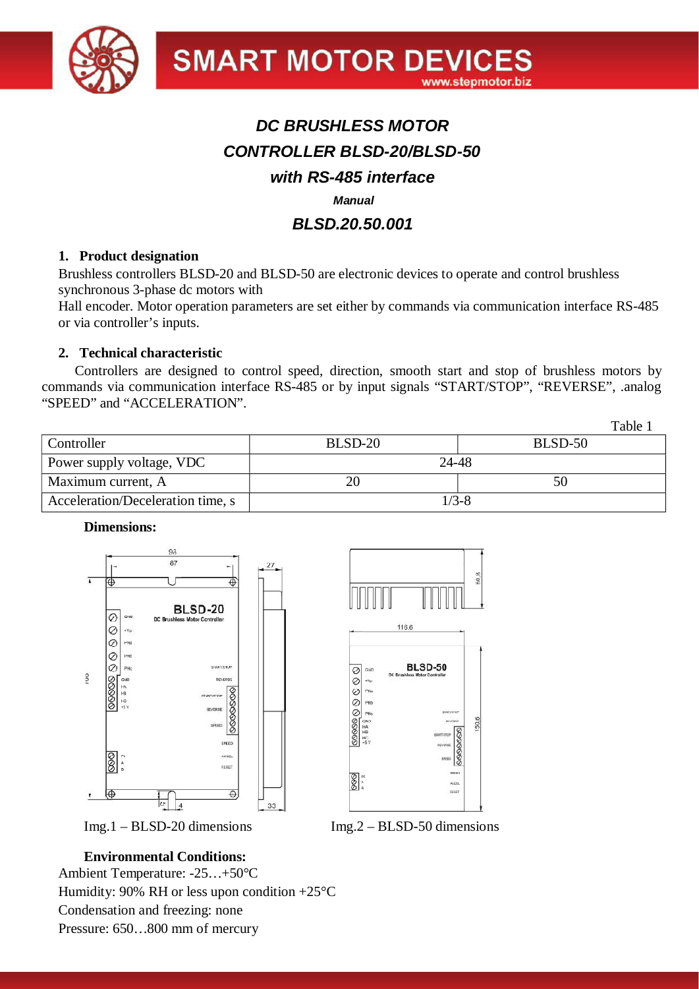

# *DC BRUSHLESS MOTOR CONTROLLER BLSD-20/BLSD-50 with RS-485 interface Manual*

# *BLSD.20.50.001*

#### **1. Product designation**

Brushless controllers BLSD-20 and BLSD-50 are electronic devices to operate and control brushless synchronous 3-phase dc motors with

Hall encoder. Motor operation parameters are set either by commands via communication interface RS-485 or via controller's inputs.

#### **2. Technical characteristic**

Controllers are designed to control speed, direction, smooth start and stop of brushless motors by commands via communication interface RS-485 or by input signals "START/STOP", "REVERSE", .analog "SPEED" and "ACCELERATION".

|                                   |           | Table . |  |
|-----------------------------------|-----------|---------|--|
| Controller                        | BLSD-20   | BLSD-50 |  |
| Power supply voltage, VDC         | 24-48     |         |  |
| Maximum current, A                | 20        | 50      |  |
| Acceleration/Deceleration time, s | $1/3 - 8$ |         |  |

#### **Dimensions:**



# Img.1 – BLSD-20 dimensions Img.2 – BLSD-50 dimensions

60,8

# **Environmental Conditions:**

Ambient Temperature: -25…+50°C Humidity: 90% RH or less upon condition  $+25^{\circ}$ C Condensation and freezing: none Pressure: 650…800 mm of mercury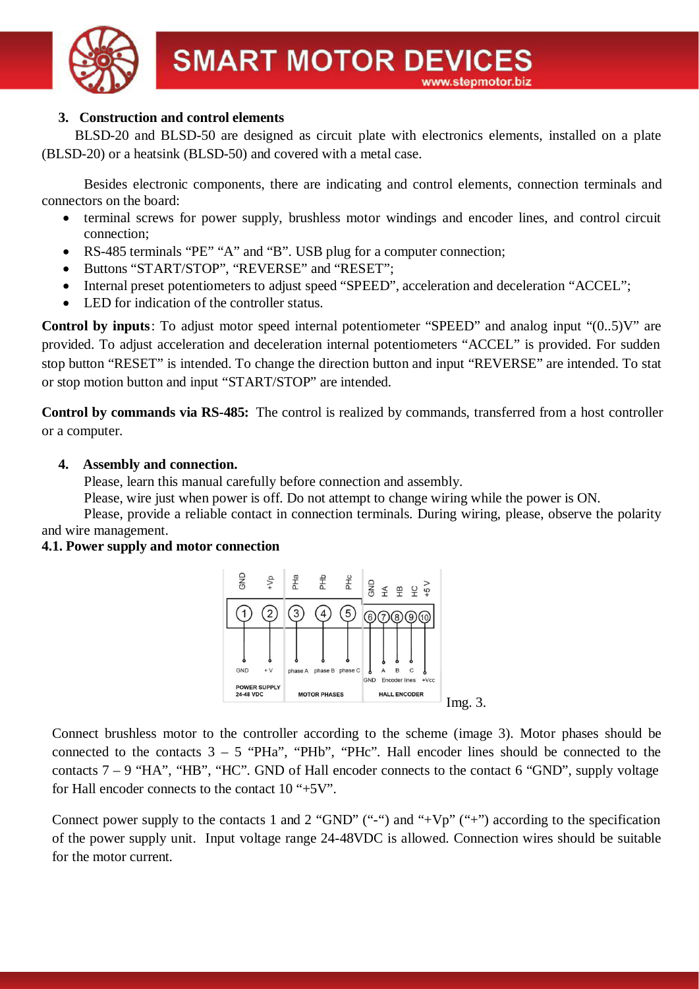

# **3. Construction and control elements**

BLSD-20 and BLSD-50 are designed as circuit plate with electronics elements, installed on a plate (BLSD-20) or a heatsink (BLSD-50) and covered with a metal case.

Besides electronic components, there are indicating and control elements, connection terminals and connectors on the board:

- terminal screws for power supply, brushless motor windings and encoder lines, and control circuit connection;
- · RS-485 terminals "PE" "A" and "B". USB plug for a computer connection;
- · Buttons "START/STOP", "REVERSE" and "RESET";
- Internal preset potentiometers to adjust speed "SPEED", acceleration and deceleration "ACCEL";
- LED for indication of the controller status.

**Control by inputs**: To adjust motor speed internal potentiometer "SPEED" and analog input "(0..5)V" are provided. To adjust acceleration and deceleration internal potentiometers "ACCEL" is provided. For sudden stop button "RESET" is intended. To change the direction button and input "REVERSE" are intended. To stat or stop motion button and input "START/STOP" are intended.

**Control by commands via RS-485:** The control is realized by commands, transferred from a host controller or a computer.

# **4. Assembly and connection.**

Please, learn this manual carefully before connection and assembly.

Please, wire just when power is off. Do not attempt to change wiring while the power is ON.

Please, provide a reliable contact in connection terminals. During wiring, please, observe the polarity and wire management.

# **4.1. Power supply and motor connection**



Connect brushless motor to the controller according to the scheme (image 3). Motor phases should be connected to the contacts  $3 - 5$  "PHa", "PHb", "PHc". Hall encoder lines should be connected to the contacts  $7 - 9$  "HA", "HB", "HC". GND of Hall encoder connects to the contact 6 "GND", supply voltage for Hall encoder connects to the contact 10 "+5V".

Connect power supply to the contacts 1 and 2 "GND" ("-") and "+Vp" ("+") according to the specification of the power supply unit. Input voltage range 24-48VDC is allowed. Connection wires should be suitable for the motor current.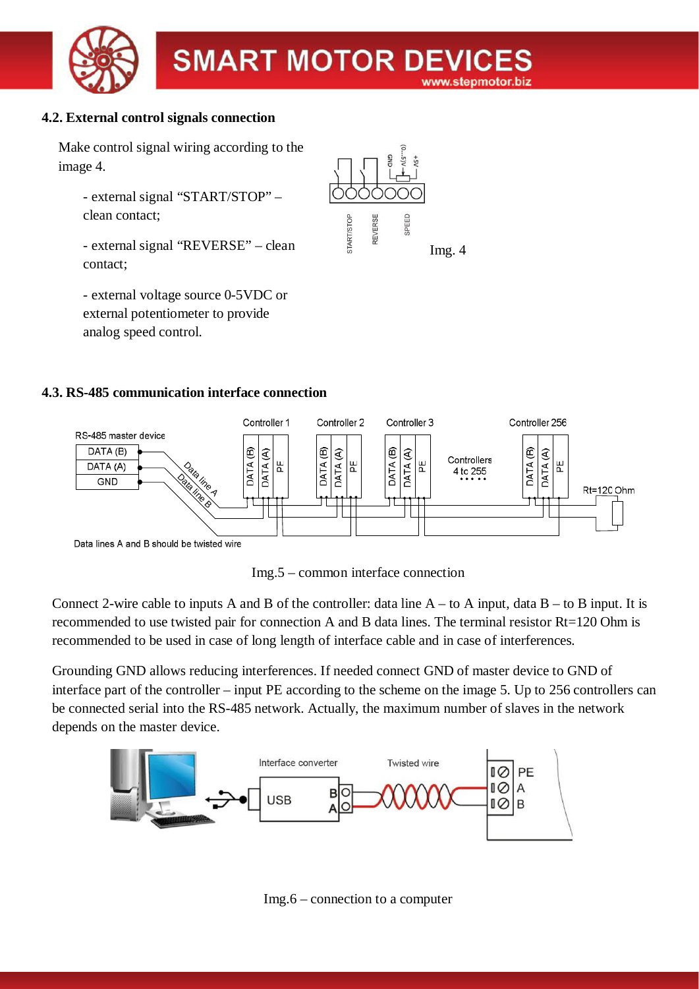

# **4.2. External control signals connection**

Make control signal wiring according to the image 4.

- external signal "START/STOP" – clean contact;

- external signal "REVERSE" – clean contact;

- external voltage source 0-5VDC or external potentiometer to provide analog speed control.



# **4.3. RS-485 communication interface connection**





Connect 2-wire cable to inputs A and B of the controller: data line  $A - t_0 A$  input, data  $B - t_0 B$  input. It is recommended to use twisted pair for connection A and B data lines. The terminal resistor Rt=120 Ohm is recommended to be used in case of long length of interface cable and in case of interferences.

Grounding GND allows reducing interferences. If needed connect GND of master device to GND of interface part of the controller – input PE according to the scheme on the image 5. Up to 256 controllers can be connected serial into the RS-485 network. Actually, the maximum number of slaves in the network depends on the master device.



Img.6 – connection to a computer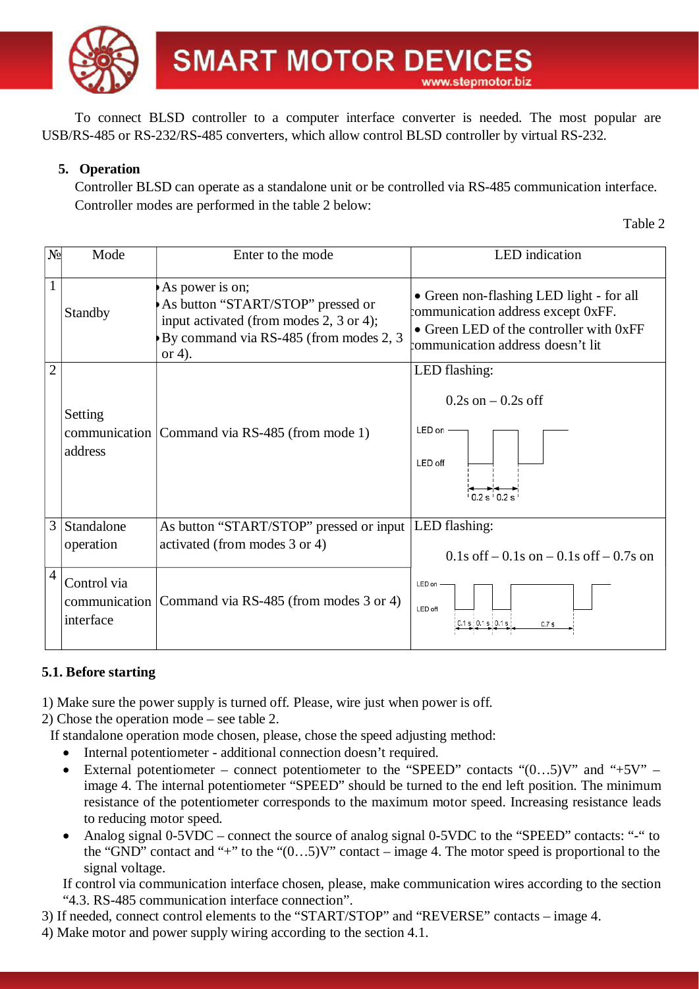

To connect BLSD controller to a computer interface converter is needed. The most popular are USB/RS-485 or RS-232/RS-485 converters, which allow control BLSD controller by virtual RS-232.

# **5. Operation**

Controller BLSD can operate as a standalone unit or be controlled via RS-485 communication interface. Controller modes are performed in the table 2 below:

Table 2

| N <sub>0</sub> | Mode                     | Enter to the mode                                                                                                                                   | LED indication                                                                                                                                                 |  |  |
|----------------|--------------------------|-----------------------------------------------------------------------------------------------------------------------------------------------------|----------------------------------------------------------------------------------------------------------------------------------------------------------------|--|--|
|                |                          |                                                                                                                                                     |                                                                                                                                                                |  |  |
| $\mathbf{1}$   | Standby                  | As power is on;<br>As button "START/STOP" pressed or<br>input activated (from modes 2, 3 or 4);<br>By command via RS-485 (from modes 2, 3<br>or 4). | • Green non-flashing LED light - for all<br>communication address except 0xFF.<br>• Green LED of the controller with 0xFF<br>communication address doesn't lit |  |  |
| $\overline{2}$ |                          |                                                                                                                                                     | LED flashing:                                                                                                                                                  |  |  |
|                | Setting<br>address       | communication   Command via RS-485 (from mode 1)                                                                                                    | $0.2$ s on $-0.2$ s off<br>LED on -<br>LED off<br>102s102s                                                                                                     |  |  |
| 3              | Standalone               | As button "START/STOP" pressed or input   LED flashing:                                                                                             |                                                                                                                                                                |  |  |
|                | operation                | activated (from modes 3 or 4)                                                                                                                       | $0.1s$ of f – 0.1s on – 0.1s of f – 0.7s on                                                                                                                    |  |  |
| $\overline{4}$ | Control via<br>interface | communication Command via RS-485 (from modes 3 or 4)                                                                                                | LED on<br>LED off<br>1s   01s   01s<br>0.7 s                                                                                                                   |  |  |

# **5.1. Before starting**

1) Make sure the power supply is turned off. Please, wire just when power is off.

2) Chose the operation mode – see table 2.

- If standalone operation mode chosen, please, chose the speed adjusting method:
	- Internal potentiometer additional connection doesn't required.
	- External potentiometer connect potentiometer to the "SPEED" contacts " $(0...5)V$ " and "+5V" image 4. The internal potentiometer "SPEED" should be turned to the end left position. The minimum resistance of the potentiometer corresponds to the maximum motor speed. Increasing resistance leads to reducing motor speed.
	- Analog signal 0-5VDC connect the source of analog signal 0-5VDC to the "SPEED" contacts: "-" to the "GND" contact and "+" to the " $(0...5)$ V" contact – image 4. The motor speed is proportional to the signal voltage.

If control via communication interface chosen, please, make communication wires according to the section "4.3. RS-485 communication interface connection".

3) If needed, connect control elements to the "START/STOP" and "REVERSE" contacts – image 4.

4) Make motor and power supply wiring according to the section 4.1.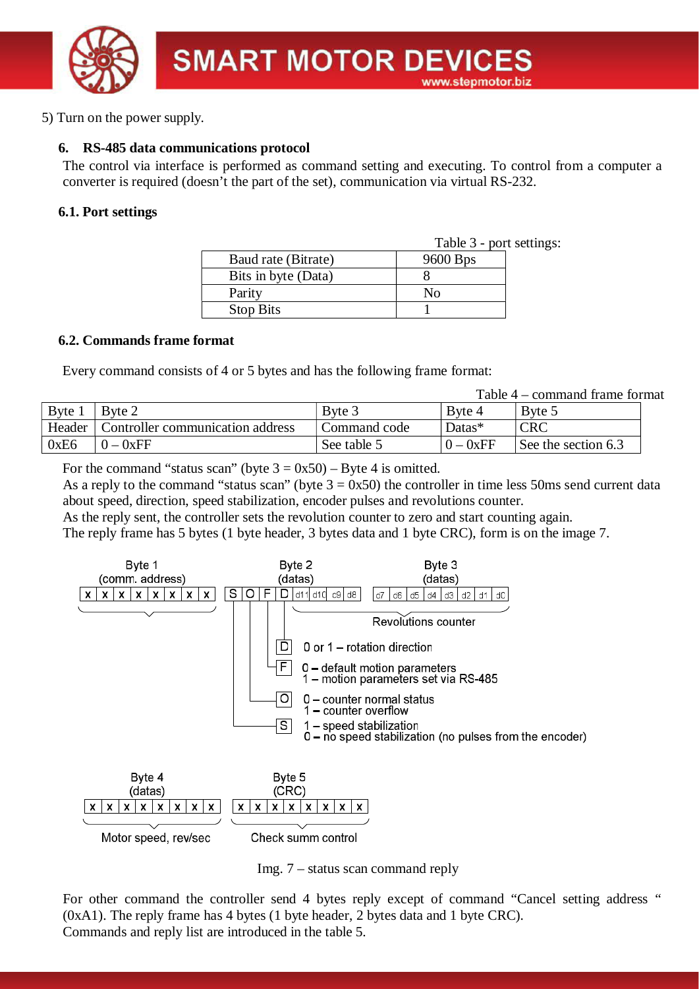

5) Turn on the power supply.

# **6. RS-485 data communications protocol**

The control via interface is performed as command setting and executing. To control from a computer a converter is required (doesn't the part of the set), communication via virtual RS-232.

#### **6.1. Port settings**

|                     | Table 3 - port settings: |  |  |
|---------------------|--------------------------|--|--|
| Baud rate (Bitrate) | 9600 Bps                 |  |  |
| Bits in byte (Data) |                          |  |  |
| Parity              | N٥                       |  |  |
| <b>Stop Bits</b>    |                          |  |  |

# **6.2. Commands frame format**

Every command consists of 4 or 5 bytes and has the following frame format:

Table 4 – command frame format

|        |                                  |              |        | commune nume for      |
|--------|----------------------------------|--------------|--------|-----------------------|
| Byte   | Byte 2                           | Byte 3       | Byte 4 | Byte 5                |
| Header | Controller communication address | Command code | Datas* | <b>CRC</b>            |
| 0xE6   | 0xFF                             | See table 5  | 0xFF   | See the section $6.3$ |

For the command "status scan" (byte  $3 = 0x50$ ) – Byte 4 is omitted.

As a reply to the command "status scan" (byte  $3 = 0x50$ ) the controller in time less 50ms send current data about speed, direction, speed stabilization, encoder pulses and revolutions counter.

As the reply sent, the controller sets the revolution counter to zero and start counting again.

The reply frame has 5 bytes (1 byte header, 3 bytes data and 1 byte CRC), form is on the image 7.







For other command the controller send 4 bytes reply except of command "Cancel setting address " (0xA1). The reply frame has 4 bytes (1 byte header, 2 bytes data and 1 byte CRC). Commands and reply list are introduced in the table 5.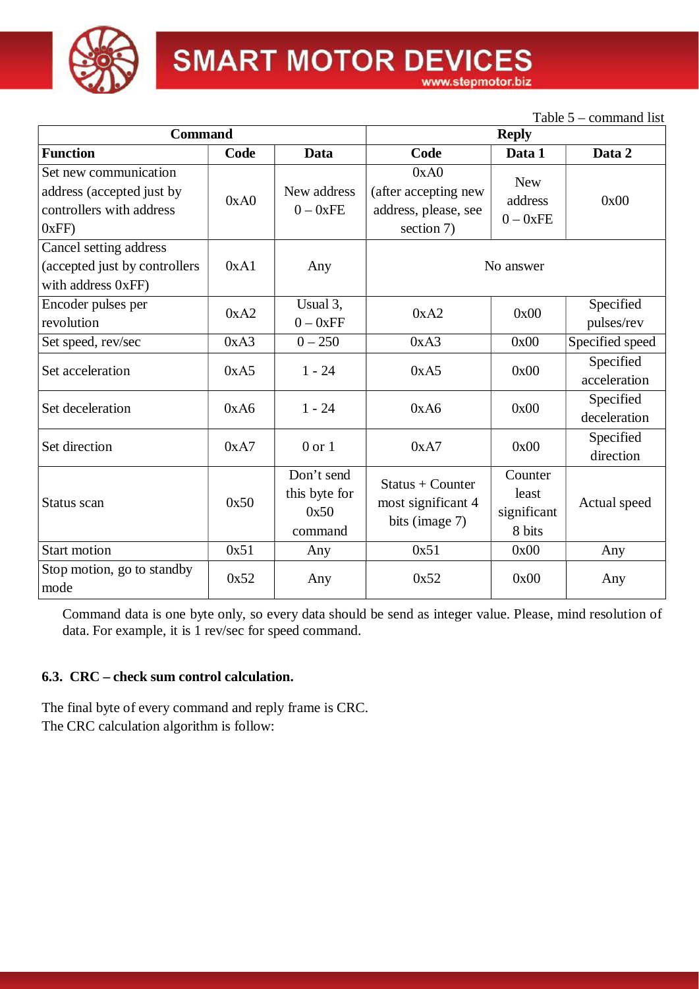

# **SMART MOTOR DEVICES**

www.stepmotor.biz

|                                                                                         |      |                                                |                                                                    |                                           | Table $5$ – command list  |
|-----------------------------------------------------------------------------------------|------|------------------------------------------------|--------------------------------------------------------------------|-------------------------------------------|---------------------------|
| <b>Command</b>                                                                          |      | <b>Reply</b>                                   |                                                                    |                                           |                           |
| <b>Function</b>                                                                         | Code | Data                                           | Code                                                               | Data 1                                    | Data 2                    |
| Set new communication<br>address (accepted just by<br>controllers with address<br>0xFF) | 0xA0 | New address<br>$0 - 0xFE$                      | 0xA0<br>(after accepting new<br>address, please, see<br>section 7) | <b>New</b><br>address<br>$0 - 0xFE$       | 0x00                      |
| Cancel setting address<br>(accepted just by controllers<br>with address 0xFF)           | 0xA1 | Any                                            | No answer                                                          |                                           |                           |
| Encoder pulses per<br>revolution                                                        | 0xA2 | Usual 3,<br>$0 - 0xFF$                         | 0xA2                                                               | 0x00                                      | Specified<br>pulses/rev   |
| Set speed, rev/sec                                                                      | 0xA3 | $0 - 250$                                      | 0xA3                                                               | 0x00                                      | Specified speed           |
| Set acceleration                                                                        | 0xA5 | $1 - 24$                                       | 0xA5                                                               | 0x00                                      | Specified<br>acceleration |
| Set deceleration                                                                        | 0xA6 | $1 - 24$                                       | 0xA6                                                               | 0x00                                      | Specified<br>deceleration |
| Set direction                                                                           | 0xA7 | $0$ or $1$                                     | 0xA7                                                               | 0x00                                      | Specified<br>direction    |
| Status scan                                                                             | 0x50 | Don't send<br>this byte for<br>0x50<br>command | $Status + Counter$<br>most significant 4<br>bits (image 7)         | Counter<br>least<br>significant<br>8 bits | Actual speed              |
| <b>Start motion</b>                                                                     | 0x51 | Any                                            | 0x51                                                               | 0x00                                      | Any                       |
| Stop motion, go to standby<br>mode                                                      | 0x52 | Any                                            | 0x52                                                               | 0x00                                      | Any                       |

Command data is one byte only, so every data should be send as integer value. Please, mind resolution of data. For example, it is 1 rev/sec for speed command.

# **6.3. CRC – check sum control calculation.**

The final byte of every command and reply frame is CRC. The CRC calculation algorithm is follow: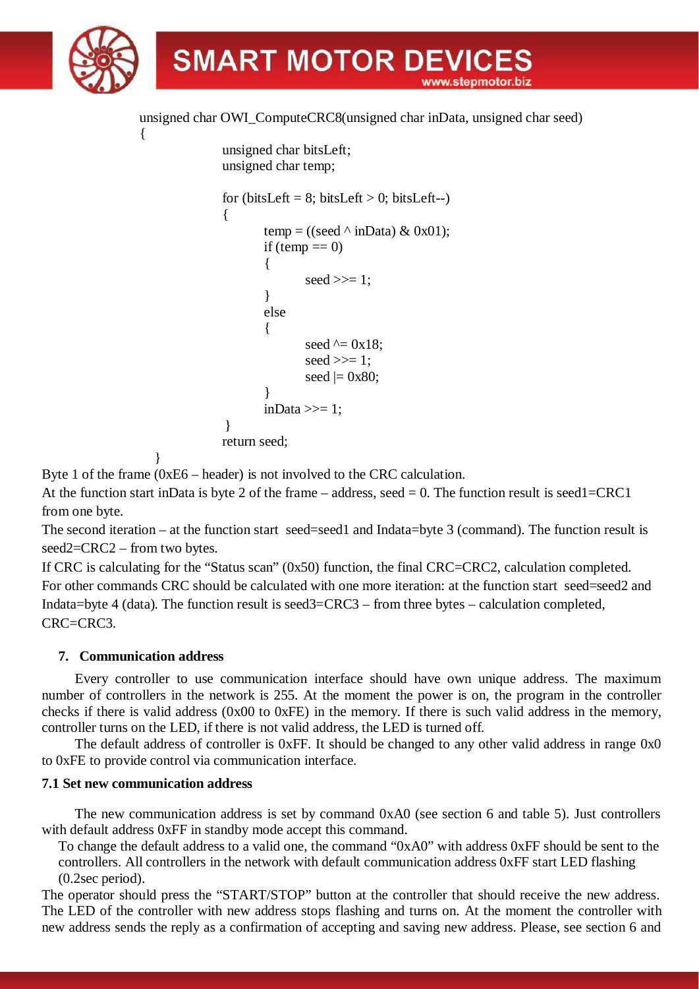

unsigned char OWI\_ComputeCRC8(unsigned char inData, unsigned char seed)

```
 unsigned char bitsLeft;
            unsigned char temp;
           for (bitsLeft = 8; bitsLeft > 0; bitsLeft--)
\{temp = ((seed \land inData) & 0x01);
                if (temp == 0)
 {
                      seed \gg=1;
 }
                 else
 {
                      seed \uparrow = 0x18;
                      seed \gg=1;
                      seed |= 0x80; }
                inData \gg=1:
           }
            return seed;
```
Byte 1 of the frame (0xE6 – header) is not involved to the CRC calculation.

At the function start inData is byte 2 of the frame – address, seed  $= 0$ . The function result is seed1=CRC1 from one byte.

The second iteration – at the function start seed=seed1 and Indata=byte 3 (command). The function result is seed2=CRC2 – from two bytes.

If CRC is calculating for the "Status scan" (0x50) function, the final CRC=CRC2, calculation completed. For other commands CRC should be calculated with one more iteration: at the function start seed=seed2 and Indata=byte 4 (data). The function result is seed3=CRC3 – from three bytes – calculation completed, CRC=CRC3.

# **7. Communication address**

}

{

Every controller to use communication interface should have own unique address. The maximum number of controllers in the network is 255. At the moment the power is on, the program in the controller checks if there is valid address (0x00 to 0xFE) in the memory. If there is such valid address in the memory, controller turns on the LED, if there is not valid address, the LED is turned off.

The default address of controller is 0xFF. It should be changed to any other valid address in range 0x0 to 0xFE to provide control via communication interface.

# **7.1 Set new communication address**

The new communication address is set by command 0xA0 (see section 6 and table 5). Just controllers with default address  $0xFF$  in standby mode accept this command.

To change the default address to a valid one, the command "0xA0" with address 0xFF should be sent to the controllers. All controllers in the network with default communication address 0xFF start LED flashing (0.2sec period).

The operator should press the "START/STOP" button at the controller that should receive the new address. The LED of the controller with new address stops flashing and turns on. At the moment the controller with new address sends the reply as a confirmation of accepting and saving new address. Please, see section 6 and